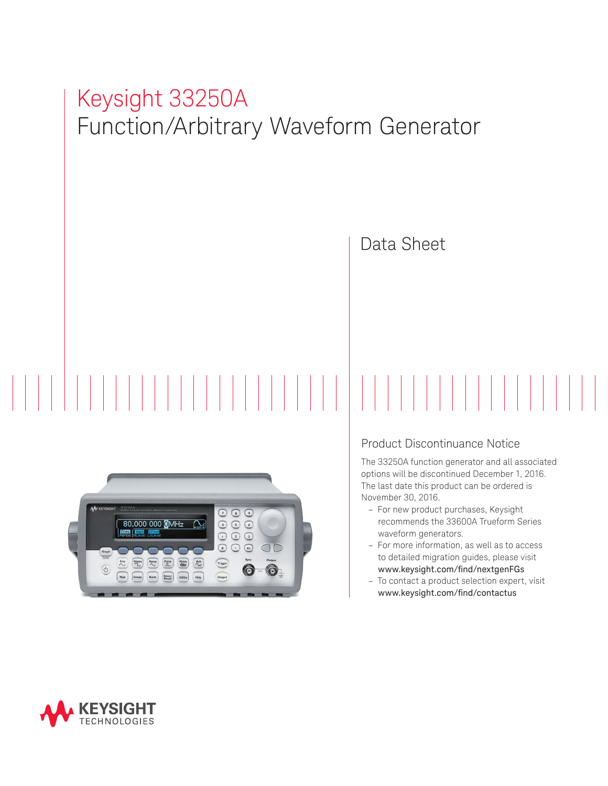# Keysight 33250A Function/Arbitrary Waveform Generator





#### Product Discontinuance Notice

The 33250A function generator and all associated options will be discontinued December 1, 2016. The last date this product can be ordered is November 30, 2016.

- For new product purchases, Keysight recommends the 33600A Trueform Series waveform generators.
- For more information, as well as to access to detailed migration guides, please visit www.keysight.com/find/nextgenFGs
- To contact a product selection expert, visit www.keysight.com/find/contactus

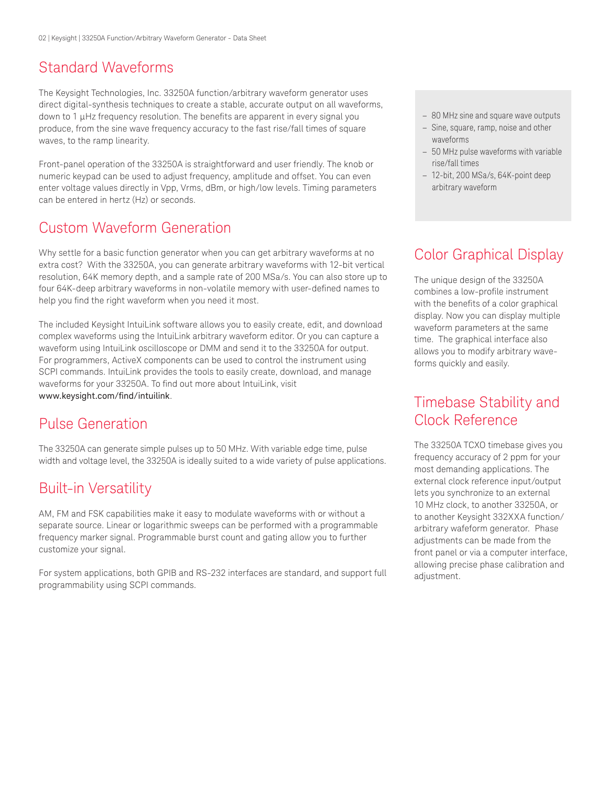### Standard Waveforms

The Keysight Technologies, Inc. 33250A function/arbitrary waveform generator uses direct digital-synthesis techniques to create a stable, accurate output on all waveforms, down to 1 µHz frequency resolution. The benefits are apparent in every signal you produce, from the sine wave frequency accuracy to the fast rise/fall times of square waves, to the ramp linearity.

Front-panel operation of the 33250A is straightforward and user friendly. The knob or numeric keypad can be used to adjust frequency, amplitude and offset. You can even enter voltage values directly in Vpp, Vrms, dBm, or high/low levels. Timing parameters can be entered in hertz (Hz) or seconds.

## Custom Waveform Generation

Why settle for a basic function generator when you can get arbitrary waveforms at no extra cost? With the 33250A, you can generate arbitrary waveforms with 12-bit vertical resolution, 64K memory depth, and a sample rate of 200 MSa/s. You can also store up to four 64K-deep arbitrary waveforms in non-volatile memory with user-defined names to help you find the right waveform when you need it most.

The included Keysight IntuiLink software allows you to easily create, edit, and download complex waveforms using the IntuiLink arbitrary waveform editor. Or you can capture a waveform using IntuiLink oscilloscope or DMM and send it to the 33250A for output. For programmers, ActiveX components can be used to control the instrument using SCPI commands. IntuiLink provides the tools to easily create, download, and manage waveforms for your 33250A. To find out more about IntuiLink, visit [www.keysight.com/find/intuilink](http://www.keysight.com/find/intuilink).

## Pulse Generation

The 33250A can generate simple pulses up to 50 MHz. With variable edge time, pulse width and voltage level, the 33250A is ideally suited to a wide variety of pulse applications.

## Built-in Versatility

AM, FM and FSK capabilities make it easy to modulate waveforms with or without a separate source. Linear or logarithmic sweeps can be performed with a programmable frequency marker signal. Programmable burst count and gating allow you to further customize your signal.

For system applications, both GPIB and RS-232 interfaces are standard, and support full programmability using SCPI commands.

- 80 MHz sine and square wave outputs
- Sine, square, ramp, noise and other waveforms
- 50 MHz pulse waveforms with variable rise/fall times
- 12-bit, 200 MSa/s, 64K-point deep arbitrary waveform

# Color Graphical Display

The unique design of the 33250A combines a low-profile instrument with the benefits of a color graphical display. Now you can display multiple waveform parameters at the same time. The graphical interface also allows you to modify arbitrary waveforms quickly and easily.

## Timebase Stability and Clock Reference

The 33250A TCXO timebase gives you frequency accuracy of 2 ppm for your most demanding applications. The external clock reference input/output lets you synchronize to an external 10 MHz clock, to another 33250A, or to another Keysight 332XXA function/ arbitrary wafeform generator. Phase adjustments can be made from the front panel or via a computer interface, allowing precise phase calibration and adjustment.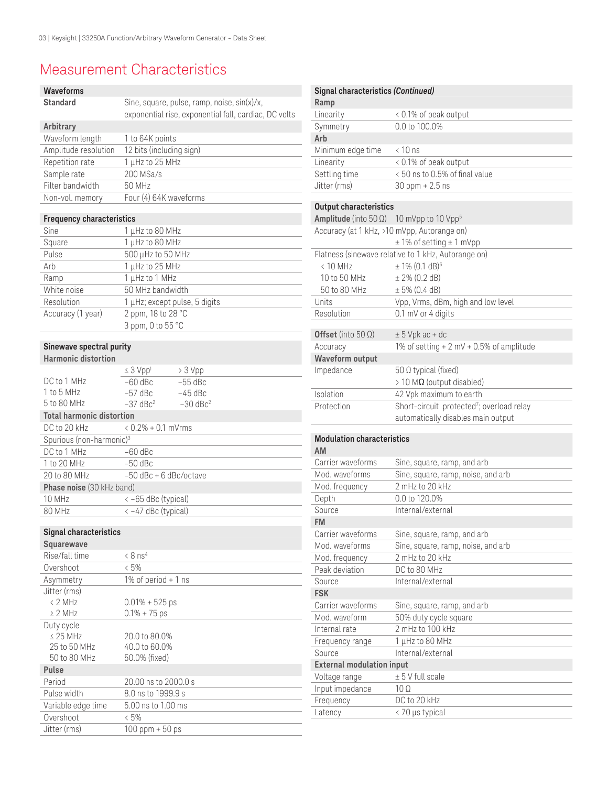# Measurement Characteristics

| <b>Waveforms</b>                     |                                                       |  |
|--------------------------------------|-------------------------------------------------------|--|
| <b>Standard</b>                      | Sine, square, pulse, ramp, noise, sin(x)/x,           |  |
|                                      | exponential rise, exponential fall, cardiac, DC volts |  |
| Arbitrary                            |                                                       |  |
| Waveform length                      | 1 to 64K points                                       |  |
| Amplitude resolution                 | 12 bits (including sign)                              |  |
| Repetition rate                      | 1 µHz to 25 MHz                                       |  |
| Sample rate                          | 200 MSa/s                                             |  |
| Filter bandwidth                     | 50 MHz                                                |  |
| Non-vol. memory                      | Four (4) 64K waveforms                                |  |
| <b>Frequency characteristics</b>     |                                                       |  |
| Sine                                 | 1 µHz to 80 MHz                                       |  |
| Square                               | 1 µHz to 80 MHz                                       |  |
| Pulse                                | 500 µHz to 50 MHz                                     |  |
| Arb                                  | 1 µHz to 25 MHz                                       |  |
| Ramp                                 | 1 µHz to 1 MHz                                        |  |
| White noise                          | 50 MHz bandwidth                                      |  |
| Resolution                           | 1 µHz; except pulse, 5 digits                         |  |
| Accuracy (1 year)                    | 2 ppm, 18 to 28 °C                                    |  |
|                                      | 3 ppm, 0 to 55 °C                                     |  |
|                                      |                                                       |  |
| Sinewave spectral purity             |                                                       |  |
| <b>Harmonic distortion</b>           |                                                       |  |
|                                      | $\leq 3$ Vpp <sup>1</sup><br>> 3 Vpp                  |  |
| DC to 1 MHz                          | $-55$ dBc<br>$-60$ dBc                                |  |
| $1$ to 5 MHz                         | $-57$ dBc<br>$-45$ dBc                                |  |
| 5 to 80 MHz                          | $-37$ dBc <sup>2</sup><br>$-30$ dBc <sup>2</sup>      |  |
| <b>Total harmonic distortion</b>     |                                                       |  |
| DC to 20 kHz                         | $0.2\% + 0.1$ mVrms                                   |  |
| Spurious (non-harmonic) <sup>3</sup> |                                                       |  |
| DC to 1 MHz                          | -60 dBc                                               |  |
| 1 to 20 MHz                          | $-50$ dBc                                             |  |
| 20 to 80 MHz                         | $-50$ dBc $+6$ dBc/octave                             |  |
| Phase noise (30 kHz band)            |                                                       |  |
| 10 MHz                               | < -65 dBc (typical)                                   |  |
| 80 MHz                               | < -47 dBc (typical)                                   |  |
| <b>Signal characteristics</b>        |                                                       |  |
| Squarewave                           |                                                       |  |
| Rise/fall time                       | $< 8$ ns <sup>4</sup>                                 |  |
| Overshoot                            | $&5\%$                                                |  |
| Asymmetry                            | 1% of period $+$ 1 ns                                 |  |
| Jitter (rms)                         |                                                       |  |
| < 2 MHz                              | $0.01\% + 525$ ps                                     |  |
| $\geq 2$ MHz                         | $0.1\% + 75$ ps                                       |  |
| Duty cycle                           |                                                       |  |
| $\leq$ 25 MHz                        | 20.0 to 80.0%                                         |  |
| 25 to 50 MHz                         | 40.0 to 60.0%                                         |  |
| 50 to 80 MHz                         | 50.0% (fixed)                                         |  |
| Pulse                                |                                                       |  |
| Period                               | 20.00 ns to 2000.0 s                                  |  |
| Pulse width                          | 8.0 ns to 1999.9 s                                    |  |
| Variable edge time                   | 5.00 ns to 1.00 ms                                    |  |

Overshoot <5%

Jitter (rms) 100 ppm + 50 ps

| Signal characteristics (Continued)<br>Ramp                                                           |                                                                                                                   |
|------------------------------------------------------------------------------------------------------|-------------------------------------------------------------------------------------------------------------------|
| Linearity                                                                                            | < 0.1% of peak output                                                                                             |
| Symmetry                                                                                             | 0.0 to 100.0%                                                                                                     |
| Arb                                                                                                  |                                                                                                                   |
| Minimum edge time                                                                                    | < 10 ns                                                                                                           |
| Linearity                                                                                            | < 0.1% of peak output                                                                                             |
| Settling time                                                                                        | <50 ns to 0.5% of final value                                                                                     |
| Jitter (rms)                                                                                         | $30$ ppm + 2.5 ns                                                                                                 |
| <b>Output characteristics</b><br><b>Amplitude</b> (into 50 $\Omega$ ) 10 mVpp to 10 Vpp <sup>5</sup> |                                                                                                                   |
|                                                                                                      | Accuracy (at 1 kHz, >10 mVpp, Autorange on)<br>$± 1\%$ of setting $± 1$ mVpp                                      |
| $< 10$ MHz<br>10 to 50 MHz<br>50 to 80 MHz                                                           | Flatness (sinewave relative to 1 kHz, Autorange on)<br>$± 1\% (0.1 dB)^6$<br>$± 2\% (0.2 dB)$<br>$± 5\% (0.4 dB)$ |
| Units                                                                                                | Vpp, Vrms, dBm, high and low level                                                                                |
| Resolution                                                                                           | 0.1 mV or 4 digits                                                                                                |
| Offset (into $50 \Omega$ )                                                                           | $± 5$ Vpk ac + dc                                                                                                 |
|                                                                                                      | 1% of setting $+ 2$ mV $+ 0.5$ % of amplitude                                                                     |
| Accuracy<br><b>Waveform output</b>                                                                   |                                                                                                                   |
| Impedance                                                                                            | 50 Ω typical (fixed)                                                                                              |
|                                                                                                      | $>$ 10 MΩ (output disabled)                                                                                       |
| Isolation                                                                                            | 42 Vpk maximum to earth                                                                                           |
| Protection                                                                                           | Short-circuit protected <sup>7</sup> ; overload relay                                                             |
|                                                                                                      | automatically disables main output                                                                                |
| <b>Modulation characteristics</b><br>AM                                                              |                                                                                                                   |
| Carrier waveforms                                                                                    |                                                                                                                   |
| Mod. waveforms                                                                                       | Sine, square, ramp, and arb                                                                                       |
|                                                                                                      | Sine, square, ramp, noise, and arb<br>2 mHz to 20 kHz                                                             |
| Mod. frequency<br>Depth                                                                              | 0.0 to 120.0%                                                                                                     |
| Source                                                                                               | Internal/external                                                                                                 |
| FM                                                                                                   |                                                                                                                   |
| Carrier waveforms                                                                                    | Sine, square, ramp, and arb                                                                                       |
| Mod. waveforms                                                                                       | Sine, square, ramp, noise, and arb                                                                                |
| Mod. frequency                                                                                       | 2 mHz to 20 kHz                                                                                                   |
| Peak deviation                                                                                       | DC to 80 MHz                                                                                                      |
| Source                                                                                               | Internal/external                                                                                                 |
| <b>FSK</b>                                                                                           |                                                                                                                   |
| Carrier waveforms                                                                                    | Sine, square, ramp, and arb                                                                                       |
| Mod. waveform                                                                                        | 50% duty cycle square                                                                                             |
| Internal rate                                                                                        | 2 mHz to 100 kHz                                                                                                  |
| Frequency range                                                                                      | 1 µHz to 80 MHz                                                                                                   |
| Source                                                                                               | Internal/external                                                                                                 |
| <b>External modulation input</b>                                                                     |                                                                                                                   |
| Voltage range                                                                                        | ± 5 V full scale                                                                                                  |
| Input impedance                                                                                      | $10\Omega$                                                                                                        |
| Frequency<br>Latency                                                                                 | DC to 20 kHz<br>< 70 µs typical                                                                                   |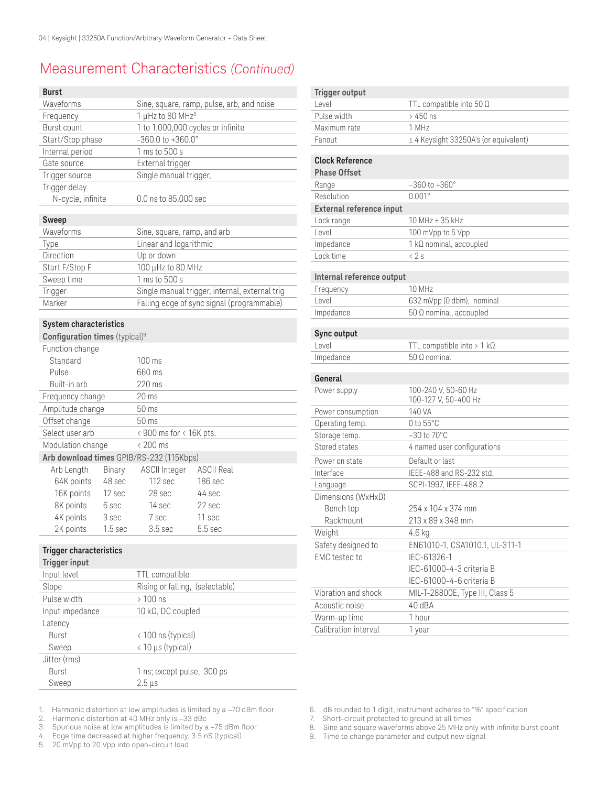# Measurement Characteristics *(Continued)*

| <b>Burst</b>                                           |                    |                                          |                                                |  |
|--------------------------------------------------------|--------------------|------------------------------------------|------------------------------------------------|--|
| Waveforms                                              |                    |                                          | Sine, square, ramp, pulse, arb, and noise      |  |
| Frequency                                              |                    | 1 µHz to 80 MHz <sup>8</sup>             |                                                |  |
| Burst count                                            |                    | 1 to 1,000,000 cycles or infinite        |                                                |  |
| Start/Stop phase                                       |                    | $-360.0$ to $+360.0^{\circ}$             |                                                |  |
| Internal period                                        |                    | 1 ms to 500 s                            |                                                |  |
| Gate source                                            |                    | External trigger                         |                                                |  |
| Trigger source                                         |                    | Single manual trigger,                   |                                                |  |
| Trigger delay                                          |                    |                                          |                                                |  |
| N-cycle, infinite                                      |                    | 0.0 ns to 85.000 sec                     |                                                |  |
| <b>Sweep</b>                                           |                    |                                          |                                                |  |
| Waveforms                                              |                    | Sine, square, ramp, and arb              |                                                |  |
| Type                                                   |                    | Linear and logarithmic                   |                                                |  |
| Direction                                              |                    | Up or down                               |                                                |  |
| Start F/Stop F                                         |                    | 100 μHz to 80 MHz                        |                                                |  |
| Sweep time                                             |                    | 1 ms to 500 s                            |                                                |  |
| Trigger                                                |                    |                                          | Single manual trigger, internal, external trig |  |
| Marker                                                 |                    |                                          | Falling edge of sync signal (programmable)     |  |
| <b>System characteristics</b>                          |                    |                                          |                                                |  |
| Configuration times (typical) <sup>9</sup>             |                    |                                          |                                                |  |
| Function change                                        |                    |                                          |                                                |  |
| Standard                                               |                    | $100 \text{ ms}$                         |                                                |  |
| Pulse                                                  |                    | 660 ms                                   |                                                |  |
| Built-in arb                                           |                    | 220 ms                                   |                                                |  |
| Frequency change                                       |                    | $20 \,\mathrm{ms}$                       |                                                |  |
| Amplitude change                                       |                    | 50 ms                                    |                                                |  |
| Offset change                                          |                    | 50 ms                                    |                                                |  |
| Select user arb                                        |                    | < 900 ms for < 16K pts.                  |                                                |  |
| Modulation change                                      |                    | < 200 ms                                 |                                                |  |
|                                                        |                    | Arb download times GPIB/RS-232 (115Kbps) |                                                |  |
| Arb Length                                             | Binary             | <b>ASCII Integer</b>                     | <b>ASCII Real</b>                              |  |
| 64K points                                             | 48 sec             | 112 sec                                  | 186 sec                                        |  |
| 16K points                                             | 12 sec             | 28 sec                                   | 44 sec                                         |  |
| 8K points                                              | 6 sec              | 14 sec                                   | 22 sec                                         |  |
| 4K points                                              | 3 sec              | 7 sec                                    | 11 sec                                         |  |
| 2K points                                              | 1.5 <sub>sec</sub> | 3.5 <sub>sec</sub>                       | 5.5 sec                                        |  |
|                                                        |                    |                                          |                                                |  |
| <b>Trigger characteristics</b><br><b>Trigger input</b> |                    |                                          |                                                |  |
| Input level                                            |                    | TTL compatible                           |                                                |  |
| Slope                                                  |                    | Rising or falling,                       | (selectable)                                   |  |
| Pulse width                                            |                    | $> 100$ ns                               |                                                |  |
| Input impedance                                        |                    | 10 kΩ, DC coupled                        |                                                |  |
| Latency                                                |                    |                                          |                                                |  |
| Burst                                                  |                    | < 100 ns (typical)                       |                                                |  |
| Sween                                                  |                    | < 10 us (tynical)                        |                                                |  |

Sweep < 10 µs (typical) Jitter (rms) Burst Sweep 1 ns; except pulse, 300 ps  $2.5 \,\mu s$ 

**Trigger output** Level TTL compatible into 50 Ω Pulse width  $>$  450 ns Maximum rate 1 MHz Fanout ≤ 4 Keysight 33250A's (or equivalent) **Clock Reference Phase Offset** Range –360 to +360° Resolution 0.001° **External reference input** Lock range 10 MHz ± 35 kHz Level 100 mVpp to 5 Vpp Impedance 1 kΩ nominal, accoupled Lock time < 2 s **Internal reference output** Frequency 10 MHz Level 632 mVpp (0 dbm), nominal Impedance 50 Ω nominal, accoupled **Sync output**  Level TTL compatible into > 1 kΩ Impedance 50 Ω nominal **General**  Power supply 100-240 V, 50-60 Hz 100-127 V, 50-400 Hz Power consumption 140 VA Operating temp. 0 to 55°C Storage temp. -30 to 70°C Stored states 4 named user configurations Power on state Default or last Interface IEEE-488 and RS-232 std. Language SCPI-1997, IEEE-488.2 Dimensions (WxHxD) Bench top Rackmount 254 x 104 x 374 mm 213 x 89 x 348 mm Weight 4.6 kg Safety designed to EN61010-1, CSA1010.1, UL-311-1 EMC tested to IEC-61326-1 IEC-61000-4-3 criteria B IEC-61000-4-6 criteria B Vibration and shock MIL-T-28800E, Type III, Class 5 Acoustic noise 40 dBA

1. Harmonic distortion at low amplitudes is limited by a –70 dBm floor<br>2. Harmonic distortion at 40 MHz only is –33 dBc

Harmonic distortion at 40 MHz only is -33 dBc

- 3. Spurious noise at low amplitudes is limited by a -75 dBm floor<br>4. Edge time decreased at higher frequency, 3.5 nS (typical)
- 4. Edge time decreased at higher frequency, 3.5 nS (typical)<br>5. 20 mVpp to 20 Vpp into open-circuit load
- 20 mVpp to 20 Vpp into open-circuit load
- 6. dB rounded to 1 digit, instrument adheres to "%" specification
- Short-circuit protected to ground at all times
- 8. Sine and square waveforms above 25 MHz only with infinite burst count
- 9. Time to change parameter and output new signal
- 

Warm-up time 1 hour Calibration interval 1 year